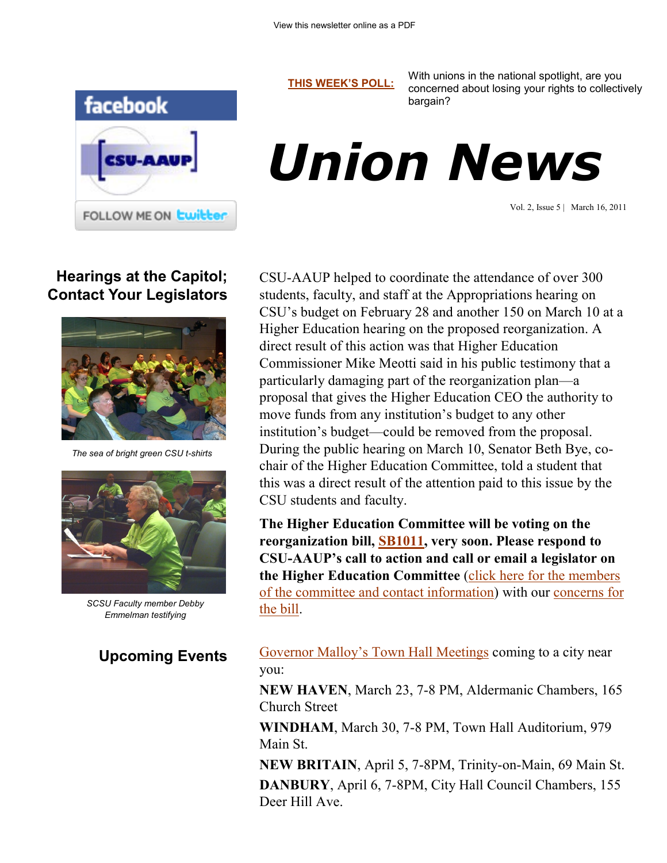

**[THIS WEEK'S POLL:](http://www.csuaaup.org/)** With unions in the national spotlight, are your rights to collective concerned about losing your rights to collectively bargain?

## *Union News*

Vol. 2, Issue 5 | March 16, 2011

## **Hearings at the Capitol; Contact Your Legislators**



*The sea of bright green CSU t-shirts*



*SCSU Faculty member Debby Emmelman testifying*

CSU-AAUP helped to coordinate the attendance of over 300 students, faculty, and staff at the Appropriations hearing on CSU's budget on February 28 and another 150 on March 10 at a Higher Education hearing on the proposed reorganization. A direct result of this action was that Higher Education Commissioner Mike Meotti said in his public testimony that a particularly damaging part of the reorganization plan—a proposal that gives the Higher Education CEO the authority to move funds from any institution's budget to any other institution's budget—could be removed from the proposal. During the public hearing on March 10, Senator Beth Bye, cochair of the Higher Education Committee, told a student that this was a direct result of the attention paid to this issue by the CSU students and faculty.

**The Higher Education Committee will be voting on the reorganization bill, [SB1011,](http://www.cga.ct.gov/2011/TOB/S/2011SB-01011-R00-SB.htm) very soon. Please respond to CSU-AAUP's call to action and call or email a legislator on the Higher Education Committee** [\(click here for the members](http://www.cga.ct.gov/asp/menu/MemberList.asp?comm_code=HED)  [of the committee and contact information\)](http://www.cga.ct.gov/asp/menu/MemberList.asp?comm_code=HED) with our [concerns for](http://www.csuaaup.org/wp-content/uploads/2011/03/Talking-Points-on-Reorganization.pdf)  [the bill.](http://www.csuaaup.org/wp-content/uploads/2011/03/Talking-Points-on-Reorganization.pdf) 

**Upcoming Events** [Governor Malloy's Town Hall Meetings](http://www.governor.ct.gov/malloy/cwp/view.asp?a=4010&Q=474588) coming to a city near you:

> **NEW HAVEN**, March 23, 7-8 PM, Aldermanic Chambers, 165 Church Street

**WINDHAM**, March 30, 7-8 PM, Town Hall Auditorium, 979 Main St.

**NEW BRITAIN**, April 5, 7-8PM, Trinity-on-Main, 69 Main St. **DANBURY**, April 6, 7-8PM, City Hall Council Chambers, 155 Deer Hill Ave.